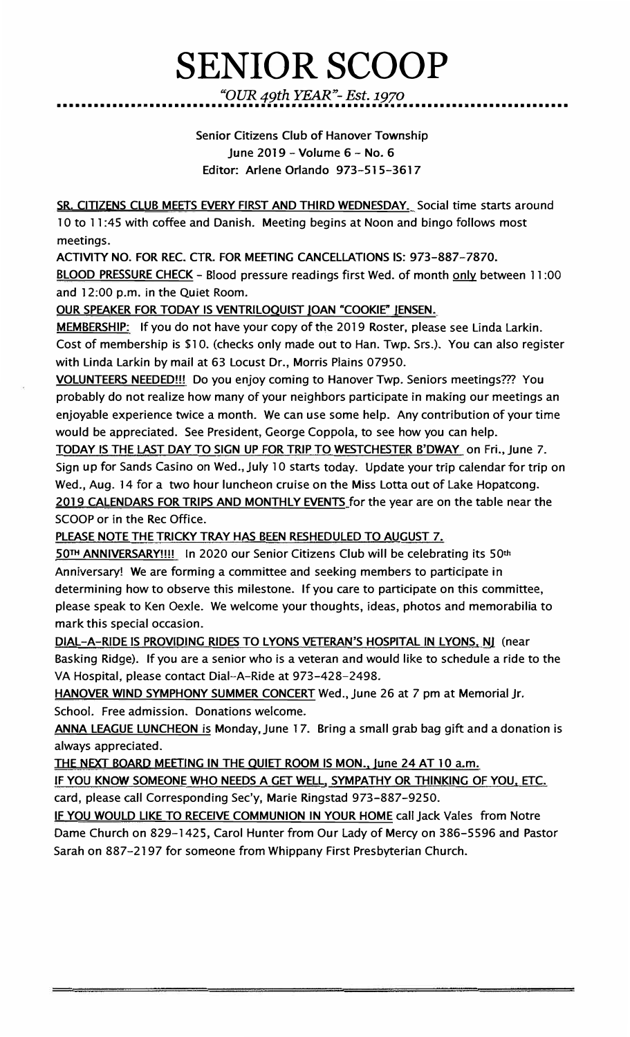# **SENIOR SCOOP**

*"OUR 49th YEAR"- Est. 1970*  •••••••••••••••••••••••••••••••••••••••••••••••••••••••••••••••••••••••••••••••••••

> Senior Citizens Club of Hanover Township June 2019 - Volume 6 - No. 6 Editor: Arlene Orlando 973-515-3617

SR. CITIZENS CLUB MEETS EVERY FIRST AND THIRD WEDNESDAY... Social time starts around 10 to 11 :45 with coffee and Danish. Meeting begins at Noon and bingo follows most meetings.

ACTIVITY NO. FOR REC. CTR. FOR MEETING CANCELLATIONS IS: 973-887-7870. <u>BLOOD PRESSURE CHECK</u> – Blood pressure readings first Wed. of month <u>only</u> between 11:00 and 12:00 p.m. in the Quiet Room.

OUR SPEAKER FOR TODAY IS VENTRILOQUIST IOAN "COOKIE" IENSEN.

**MEMBERSHIP:** If you do not have your copy of the 2019 Roster, please see Linda Larkin. Cost of membership is \$10. (checks only made out to Han. Twp. Srs.). You can also register with Linda Larkin by mail at 63 Locust Dr., Morris Plains 07950.

VOLUNTEERS NEEDED!!! Do you enjoy coming to Hanover Twp. Seniors meetings??? You probably do not realize how many of your neighbors participate in making our meetings an enjoyable experience twice a month. We can use some help. Any contribution of your time would be appreciated. See President, George Coppola, to see how you can help.

TODAY IS THE LAST DAY TO SIGN UP FOR TRIP TO WESTCHESTER B'DWAY on Fri., June 7. Sign up for Sands Casino on Wed., July 10 starts today. Update your trip calendar for trip on Wed., Aug. 14 for a two hour luncheon cruise on the Miss Lotta out of Lake Hopatcong. 2019 CALENDARS FOR TRIPS AND MONTHLY EVENTS for the year are on the table near the SCOOP or in the Rec Office.

PLEASE NOTE THE TRICKY TRAY HAS BEEN RESHEDULED TO AUGUST 7.

50TH ANNIVERSARY!!!! In 2020 our Senior Citizens Club will be celebrating its 50th Anniversary! We are forming a committee and seeking members to participate in determining how to observe this milestone. If you care to participate on this committee, please speak to Ken Oexle. We welcome your thoughts, ideas, photos and memorabilia to mark this special occasion.

**DIAL-A-RIDE IS PROVIDING RIDES** TO **LYONS VETERAN'S HOSPITAL IN LYONS, NI** (near Basking Ridge). If you are a senior who is a veteran and would like to schedule a ride to the VA Hospital, please contact Dial-A-Ride at 973-428-2498.

HANOVER WIND SYMPHONY SUMMER CONCERT Wed., June 26 at 7 pm at Memorial Jr. School. Free admission. Donations welcome.

ANNA LEAGUE LUNCHEON is Monday.June 17. Bring a small grab bag gift and a donation is always appreciated.

THE NEXT BOARD MEETING IN THE QUIET ROOM IS MON., June 24 AT 10 a.m.

IF YOU KNOW SOMEONE WHO NEEDS A GET WELL, SYMPATHY OR THINKING OF YOU, ETC. card, please call Corresponding Sec'y, Marie Ringstad 973-887-9250.

IF YOU WOULD LIKE TO RECEIVE COMMUNION IN YOUR HOME call Jack Vales from Notre Dame Church on 829-1425, Carol Hunter from Our Lady of Mercy on 386-5596 and Pastor Sarah on 887-2197 for someone from Whippany First Presbyterian Church.